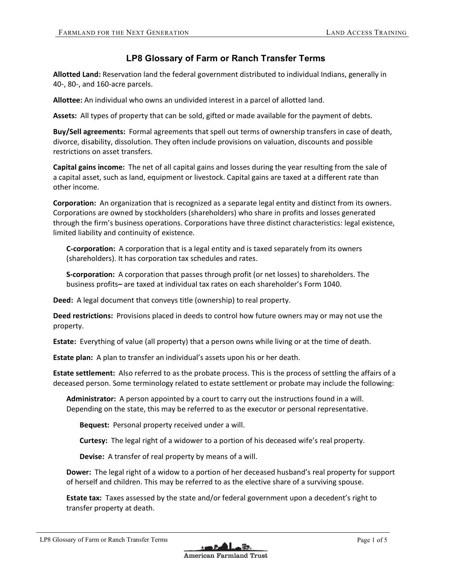## **LP8 Glossary of Farm or Ranch Transfer Terms**

**Allotted Land:** Reservation land the federal government distributed to individual Indians, generally in 40-, 80-, and 160-acre parcels.

**Allottee:** An individual who owns an undivided interest in a parcel of allotted land.

**Assets:** All types of property that can be sold, gifted or made available for the payment of debts.

**Buy/Sell agreements:** Formal agreements that spell out terms of ownership transfers in case of death, divorce, disability, dissolution. They often include provisions on valuation, discounts and possible restrictions on asset transfers.

**Capital gains income:** The net of all capital gains and losses during the year resulting from the sale of a capital asset, such as land, equipment or livestock. Capital gains are taxed at a different rate than other income.

**Corporation:** An organization that is recognized as a separate legal entity and distinct from its owners. Corporations are owned by stockholders (shareholders) who share in profits and losses generated through the firm's business operations. Corporations have three distinct characteristics: legal existence, limited liability and continuity of existence.

**C-corporation:** A corporation that is a legal entity and is taxed separately from its owners (shareholders). It has corporation tax schedules and rates.

**S-corporation:** A corporation that passes through profit (or net losses) to shareholders. The business profits**–** are taxed at individual tax rates on each shareholder's Form 1040.

**Deed:** A legal document that conveys title (ownership) to real property.

**Deed restrictions:** Provisions placed in deeds to control how future owners may or may not use the property.

**Estate:** Everything of value (all property) that a person owns while living or at the time of death.

**Estate plan:** A plan to transfer an individual's assets upon his or her death.

**Estate settlement:** Also referred to as the probate process. This is the process of settling the affairs of a deceased person. Some terminology related to estate settlement or probate may include the following:

**Administrator:** A person appointed by a court to carry out the instructions found in a will. Depending on the state, this may be referred to as the executor or personal representative.

**Bequest:** Personal property received under a will.

**Curtesy:** The legal right of a widower to a portion of his deceased wife's real property.

**Devise:** A transfer of real property by means of a will.

**Dower:** The legal right of a widow to a portion of her deceased husband's real property for support of herself and children. This may be referred to as the elective share of a surviving spouse.

**Estate tax:** Taxes assessed by the state and/or federal government upon a decedent's right to transfer property at death.

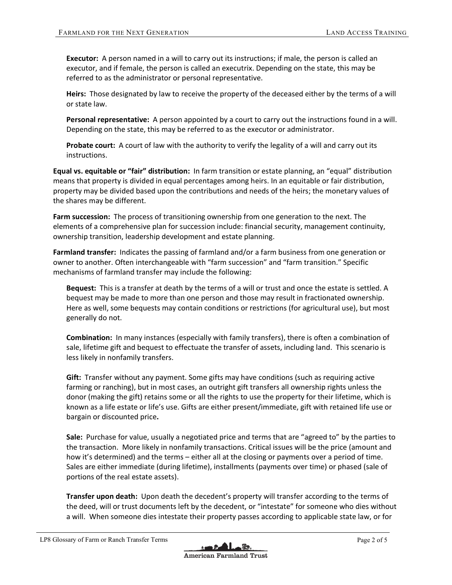**Executor:** A person named in a will to carry out its instructions; if male, the person is called an executor, and if female, the person is called an executrix. Depending on the state, this may be referred to as the administrator or personal representative.

**Heirs:** Those designated by law to receive the property of the deceased either by the terms of a will or state law.

**Personal representative:** A person appointed by a court to carry out the instructions found in a will. Depending on the state, this may be referred to as the executor or administrator.

**Probate court:** A court of law with the authority to verify the legality of a will and carry out its instructions.

**Equal vs. equitable or "fair" distribution:** In farm transition or estate planning, an "equal" distribution means that property is divided in equal percentages among heirs. In an equitable or fair distribution, property may be divided based upon the contributions and needs of the heirs; the monetary values of the shares may be different.

**Farm succession:** The process of transitioning ownership from one generation to the next. The elements of a comprehensive plan for succession include: financial security, management continuity, ownership transition, leadership development and estate planning.

**Farmland transfer:** Indicates the passing of farmland and/or a farm business from one generation or owner to another. Often interchangeable with "farm succession" and "farm transition." Specific mechanisms of farmland transfer may include the following:

**Bequest:** This is a transfer at death by the terms of a will or trust and once the estate is settled. A bequest may be made to more than one person and those may result in fractionated ownership. Here as well, some bequests may contain conditions or restrictions (for agricultural use), but most generally do not.

**Combination:** In many instances (especially with family transfers), there is often a combination of sale, lifetime gift and bequest to effectuate the transfer of assets, including land. This scenario is less likely in nonfamily transfers.

**Gift:** Transfer without any payment. Some gifts may have conditions (such as requiring active farming or ranching), but in most cases, an outright gift transfers all ownership rights unless the donor (making the gift) retains some or all the rights to use the property for their lifetime, which is known as a life estate or life's use. Gifts are either present/immediate, gift with retained life use or bargain or discounted price**.**

**Sale:** Purchase for value, usually a negotiated price and terms that are "agreed to" by the parties to the transaction. More likely in nonfamily transactions. Critical issues will be the price (amount and how it's determined) and the terms – either all at the closing or payments over a period of time. Sales are either immediate (during lifetime), installments (payments over time) or phased (sale of portions of the real estate assets).

**Transfer upon death:** Upon death the decedent's property will transfer according to the terms of the deed, will or trust documents left by the decedent, or "intestate" for someone who dies without a will. When someone dies intestate their property passes according to applicable state law, or for

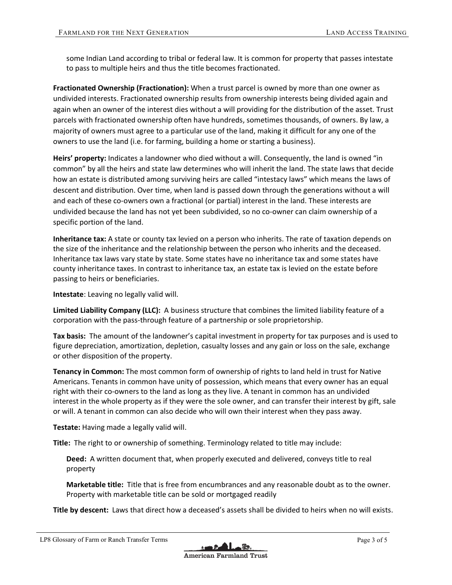some Indian Land according to tribal or federal law. It is common for property that passes intestate to pass to multiple heirs and thus the title becomes fractionated.

**Fractionated Ownership (Fractionation):** When a trust parcel is owned by more than one owner as undivided interests. Fractionated ownership results from ownership interests being divided again and again when an owner of the interest dies without a will providing for the distribution of the asset. Trust parcels with fractionated ownership often have hundreds, sometimes thousands, of owners. By law, a majority of owners must agree to a particular use of the land, making it difficult for any one of the owners to use the land (i.e. for farming, building a home or starting a business).

**Heirs' property:** Indicates a landowner who died without a will. Consequently, the land is owned "in common" by all the heirs and state law determines who will inherit the land. The state laws that decide how an estate is distributed among surviving heirs are called "intestacy laws" which means the laws of descent and distribution. Over time, when land is passed down through the generations without a will and each of these co-owners own a fractional (or partial) interest in the land. These interests are undivided because the land has not yet been subdivided, so no co-owner can claim ownership of a specific portion of the land.

**Inheritance tax:** A state or county tax levied on a person who inherits. The rate of taxation depends on the size of the inheritance and the relationship between the person who inherits and the deceased. Inheritance tax laws vary state by state. Some states have no inheritance tax and some states have county inheritance taxes. In contrast to inheritance tax, an estate tax is levied on the estate before passing to heirs or beneficiaries.

**Intestate**: Leaving no legally valid will.

**Limited Liability Company (LLC):** A business structure that combines the limited liability feature of a corporation with the pass-through feature of a partnership or sole proprietorship.

**Tax basis:** The amount of the landowner's capital investment in property for tax purposes and is used to figure depreciation, amortization, depletion, casualty losses and any gain or loss on the sale, exchange or other disposition of the property.

**Tenancy in Common:** The most common form of ownership of rights to land held in trust for Native Americans. Tenants in common have unity of possession, which means that every owner has an equal right with their co-owners to the land as long as they live. A tenant in common has an undivided interest in the whole property as if they were the sole owner, and can transfer their interest by gift, sale or will. A tenant in common can also decide who will own their interest when they pass away.

**Testate:** Having made a legally valid will.

**Title:** The right to or ownership of something. Terminology related to title may include:

**Deed:** A written document that, when properly executed and delivered, conveys title to real property

**Marketable title:** Title that is free from encumbrances and any reasonable doubt as to the owner. Property with marketable title can be sold or mortgaged readily

**Title by descent:** Laws that direct how a deceased's assets shall be divided to heirs when no will exists.

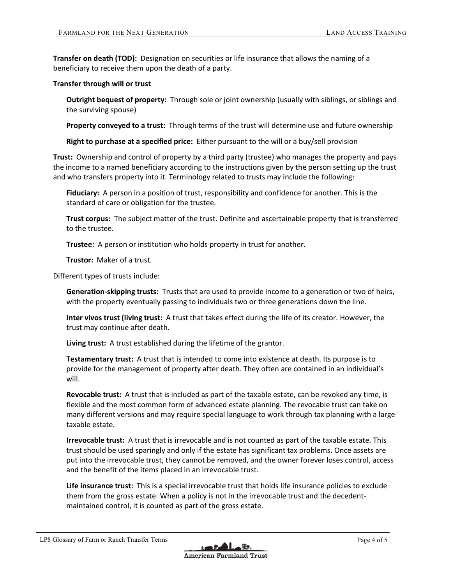**Transfer on death (TOD):** Designation on securities or life insurance that allows the naming of a beneficiary to receive them upon the death of a party.

## **Transfer through will or trust**

**Outright bequest of property:** Through sole or joint ownership (usually with siblings, or siblings and the surviving spouse)

**Property conveyed to a trust:** Through terms of the trust will determine use and future ownership

**Right to purchase at a specified price:** Either pursuant to the will or a buy/sell provision

**Trust:** Ownership and control of property by a third party (trustee) who manages the property and pays the income to a named beneficiary according to the instructions given by the person setting up the trust and who transfers property into it. Terminology related to trusts may include the following:

**Fiduciary:** A person in a position of trust, responsibility and confidence for another. This is the standard of care or obligation for the trustee.

**Trust corpus:** The subject matter of the trust. Definite and ascertainable property that is transferred to the trustee.

**Trustee:** A person or institution who holds property in trust for another.

**Trustor:** Maker of a trust.

Different types of trusts include:

**Generation-skipping trusts:** Trusts that are used to provide income to a generation or two of heirs, with the property eventually passing to individuals two or three generations down the line.

**Inter vivos trust (living trust:** A trust that takes effect during the life of its creator. However, the trust may continue after death.

**Living trust:** A trust established during the lifetime of the grantor.

**Testamentary trust:** A trust that is intended to come into existence at death. Its purpose is to provide for the management of property after death. They often are contained in an individual's will.

**Revocable trust:** A trust that is included as part of the taxable estate, can be revoked any time, is flexible and the most common form of advanced estate planning. The revocable trust can take on many different versions and may require special language to work through tax planning with a large taxable estate.

**Irrevocable trust:** A trust that is irrevocable and is not counted as part of the taxable estate. This trust should be used sparingly and only if the estate has significant tax problems. Once assets are put into the irrevocable trust, they cannot be removed, and the owner forever loses control, access and the benefit of the items placed in an irrevocable trust.

**Life insurance trust:** This is a special irrevocable trust that holds life insurance policies to exclude them from the gross estate. When a policy is not in the irrevocable trust and the decedentmaintained control, it is counted as part of the gross estate.